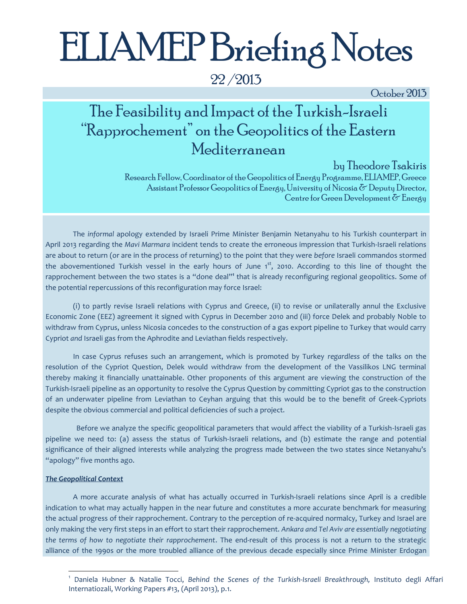# ELIAMEP Briefing Notes

22 /2013

October 2013

# The Feasibility and Impact of the Turkish-Israeli "Rapprochement" on the Geopolitics of the Eastern Mediterranean

by Theodore Tsakiris

Research Fellow, Coordinator of the Geopolitics of Energy Programme, ELIAMEP, Greece Assistant Professor Geopolitics of Energy, University of Nicosia  $\delta$  Deputy Director, Centre for Green Development  $\delta$  Energy

The *informal* apology extended by Israeli Prime Minister Benjamin Netanyahu to his Turkish counterpart in April 2013 regarding the *Mavi Marmara* incident tends to create the erroneous impression that Turkish-Israeli relations are about to return (or are in the process of returning) to the point that they were *before* Israeli commandos stormed the abovementioned Turkish vessel in the early hours of June 1<sup>st</sup>, 2010. According to this line of thought the rapprochement between the two states is a "done deal"**<sup>1</sup>** that is already reconfiguring regional geopolitics. Some of the potential repercussions of this reconfiguration may force Israel:

(i) to partly revise Israeli relations with Cyprus and Greece, (ii) to revise or unilaterally annul the Exclusive Economic Zone (EEZ) agreement it signed with Cyprus in December 2010 and (iii) force Delek and probably Noble to withdraw from Cyprus, unless Nicosia concedes to the construction of a gas export pipeline to Turkey that would carry Cypriot *and* Israeli gas from the Aphrodite and Leviathan fields respectively.

In case Cyprus refuses such an arrangement, which is promoted by Turkey *regardless* of the talks on the resolution of the Cypriot Question, Delek would withdraw from the development of the Vassilikos LNG terminal thereby making it financially unattainable. Other proponents of this argument are viewing the construction of the Turkish-Israeli pipeline as an opportunity to resolve the Cyprus Question by committing Cypriot gas to the construction of an underwater pipeline from Leviathan to Ceyhan arguing that this would be to the benefit of Greek-Cypriots despite the obvious commercial and political deficiencies of such a project.

Before we analyze the specific geopolitical parameters that would affect the viability of a Turkish-Israeli gas pipeline we need to: (a) assess the status of Turkish-Israeli relations, and (b) estimate the range and potential significance of their aligned interests while analyzing the progress made between the two states since Netanyahu's "apology" five months ago.

#### *The Geopolitical Context*

l

A more accurate analysis of what has actually occurred in Turkish-Israeli relations since April is a credible indication to what may actually happen in the near future and constitutes a more accurate benchmark for measuring the actual progress of their rapprochement. Contrary to the perception of re-acquired normalcy, Turkey and Israel are only making the very first steps in an effort to start their rapprochement. *Ankara and Tel Aviv are essentially negotiating the terms of how to negotiate their rapprochement*. The end-result of this process is not a return to the strategic alliance of the 1990s or the more troubled alliance of the previous decade especially since Prime Minister Erdogan

<sup>1</sup> Daniela Hubner & Natalie Tocci, *Behind the Scenes of the Turkish-Israeli Breakthrough,* Instituto degli Affari Internatiozali, Working Papers #13, (April 2013), p.1.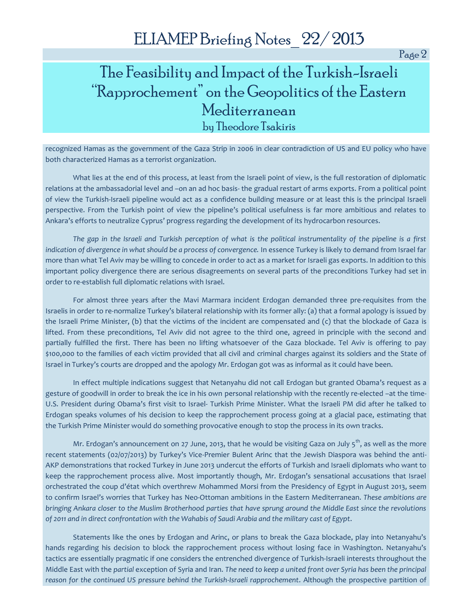Page 2

## The Feasibility and Impact of the Turkish-Israeli "Rapprochement" on the Geopolitics of the Eastern Mediterranean by Theodore Tsakiris

recognized Hamas as the government of the Gaza Strip in 2006 in clear contradiction of US and EU policy who have both characterized Hamas as a terrorist organization.

What lies at the end of this process, at least from the Israeli point of view, is the full restoration of diplomatic relations at the ambassadorial level and –on an ad hoc basis- the gradual restart of arms exports. From a political point of view the Turkish-Israeli pipeline would act as a confidence building measure or at least this is the principal Israeli perspective. From the Turkish point of view the pipeline's political usefulness is far more ambitious and relates to Ankara's efforts to neutralize Cyprus' progress regarding the development of its hydrocarbon resources.

*The gap in the Israeli and Turkish perception of what is the political instrumentality of the pipeline is a first indication of divergence in what should be a process of convergence.* In essence Turkey is likely to demand from Israel far more than what Tel Aviv may be willing to concede in order to act as a market for Israeli gas exports. In addition to this important policy divergence there are serious disagreements on several parts of the preconditions Turkey had set in order to re-establish full diplomatic relations with Israel.

For almost three years after the Mavi Marmara incident Erdogan demanded three pre-requisites from the Israelis in order to re-normalize Turkey's bilateral relationship with its former ally: (a) that a formal apology is issued by the Israeli Prime Minister, (b) that the victims of the incident are compensated and (c) that the blockade of Gaza is lifted. From these preconditions, Tel Aviv did not agree to the third one, agreed in principle with the second and partially fulfilled the first. There has been no lifting whatsoever of the Gaza blockade. Tel Aviv is offering to pay \$100,000 to the families of each victim provided that all civil and criminal charges against its soldiers and the State of Israel in Turkey's courts are dropped and the apology Mr. Erdogan got was as informal as it could have been.

In effect multiple indications suggest that Netanyahu did not call Erdogan but granted Obama's request as a gesture of goodwill in order to break the ice in his own personal relationship with the recently re-elected –at the time-U.S. President during Obama's first visit to Israel- Turkish Prime Minister. What the Israeli PM did after he talked to Erdogan speaks volumes of his decision to keep the rapprochement process going at a glacial pace, estimating that the Turkish Prime Minister would do something provocative enough to stop the process in its own tracks.

Mr. Erdogan's announcement on 27 June, 2013, that he would be visiting Gaza on July  $5<sup>th</sup>$ , as well as the more recent statements (02/07/2013) by Turkey's Vice-Premier Bulent Arinc that the Jewish Diaspora was behind the anti-AKP demonstrations that rocked Turkey in June 2013 undercut the efforts of Turkish and Israeli diplomats who want to keep the rapprochement process alive. Most importantly though, Mr. Erdogan's sensational accusations that Israel orchestrated the coup d'état which overthrew Mohammed Morsi from the Presidency of Egypt in August 2013, seem to confirm Israel's worries that Turkey has Neo-Ottoman ambitions in the Eastern Mediterranean. *These ambitions are bringing Ankara closer to the Muslim Brotherhood parties that have sprung around the Middle East since the revolutions of 2011 and in direct confrontation with the Wahabis of Saudi Arabia and the military cast of Egypt*.

Statements like the ones by Erdogan and Arinc, or plans to break the Gaza blockade, play into Netanyahu's hands regarding his decision to block the rapprochement process without losing face in Washington. Netanyahu's tactics are essentially pragmatic if one considers the entrenched divergence of Turkish-Israeli interests throughout the Middle East with the *partial* exception of Syria and Iran. *The need to keep a united front over Syria has been the principal reason for the continued US pressure behind the Turkish-Israeli rapprochement*. Although the prospective partition of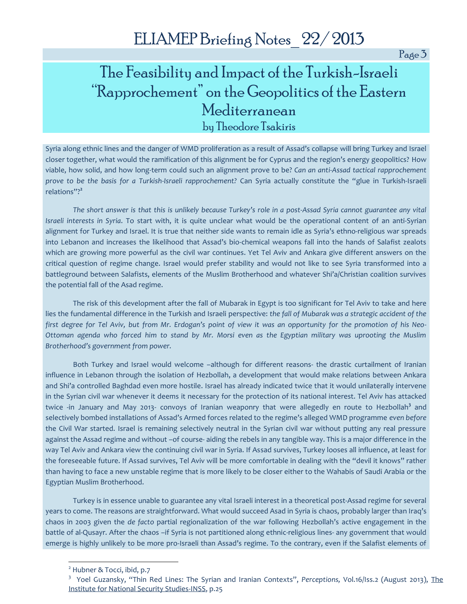Page 3

# The Feasibility and Impact of the Turkish-Israeli "Rapprochement" on the Geopolitics of the Eastern Mediterranean by Theodore Tsakiris

Syria along ethnic lines and the danger of WMD proliferation as a result of Assad's collapse will bring Turkey and Israel closer together, what would the ramification of this alignment be for Cyprus and the region's energy geopolitics? How viable, how solid, and how long-term could such an alignment prove to be? *Can an anti-Assad tactical rapprochement prove to be the basis for a Turkish-Israeli rapprochement?* Can Syria actually constitute the "glue in Turkish-Israeli relations"? **2**

*The short answer is that this is unlikely because Turkey's role in a post-Assad Syria cannot guarantee any vital Israeli interests in Syria*. To start with, it is quite unclear what would be the operational content of an anti-Syrian alignment for Turkey and Israel. It is true that neither side wants to remain idle as Syria's ethno-religious war spreads into Lebanon and increases the likelihood that Assad's bio-chemical weapons fall into the hands of Salafist zealots which are growing more powerful as the civil war continues. Yet Tel Aviv and Ankara give different answers on the critical question of regime change. Israel would prefer stability and would not like to see Syria transformed into a battleground between Salafists, elements of the Muslim Brotherhood and whatever Shi'a/Christian coalition survives the potential fall of the Asad regime.

The risk of this development after the fall of Mubarak in Egypt is too significant for Tel Aviv to take and here lies the fundamental difference in the Turkish and Israeli perspective: *the fall of Mubarak was a strategic accident of the first degree for Tel Aviv, but from Mr. Erdogan's point of view it was an opportunity for the promotion of his Neo-Ottoman agenda who forced him to stand by Mr. Morsi even as the Egyptian military was uprooting the Muslim Brotherhood's government from power.*

Both Turkey and Israel would welcome –although for different reasons- the drastic curtailment of Iranian influence in Lebanon through the isolation of Hezbollah, a development that would make relations between Ankara and Shi'a controlled Baghdad even more hostile. Israel has already indicated twice that it would unilaterally intervene in the Syrian civil war whenever it deems it necessary for the protection of its national interest. Tel Aviv has attacked twice -in January and May 2013- convoys of Iranian weaponry that were allegedly en route to Hezbollah<sup>3</sup> and selectively bombed installations of Assad's Armed forces related to the regime's alleged WMD programme *even before*  the Civil War started. Israel is remaining selectively neutral in the Syrian civil war without putting any real pressure against the Assad regime and without –of course- aiding the rebels in any tangible way. This is a major difference in the way Tel Aviv and Ankara view the continuing civil war in Syria. If Assad survives, Turkey looses all influence, at least for the foreseeable future. If Assad survives, Tel Aviv will be more comfortable in dealing with the "devil it knows" rather than having to face a new unstable regime that is more likely to be closer either to the Wahabis of Saudi Arabia or the Egyptian Muslim Brotherhood.

Turkey is in essence unable to guarantee any vital Israeli interest in a theoretical post-Assad regime for several years to come. The reasons are straightforward. What would succeed Asad in Syria is chaos, probably larger than Iraq's chaos in 2003 given the *de facto* partial regionalization of the war following Hezbollah's active engagement in the battle of al-Qusayr. After the chaos –if Syria is not partitioned along ethnic-religious lines- any government that would emerge is highly unlikely to be more pro-Israeli than Assad's regime. To the contrary, even if the Salafist elements of

l

<sup>&</sup>lt;sup>2</sup> Hubner & Tocci, ibid, p.7

<sup>&</sup>lt;sup>3</sup> Yoel Guzansky, "Thin Red Lines: The Syrian and Iranian Contexts", Perceptions, Vol.16/Iss.2 (August 2013), The Institute for National Security Studies-INSS, p.25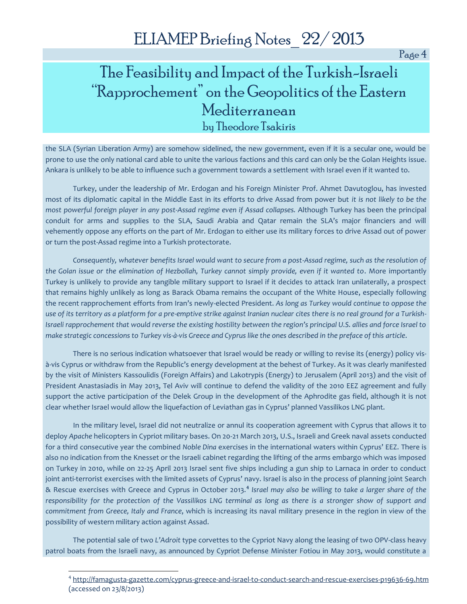Page 4

# The Feasibility and Impact of the Turkish-Israeli "Rapprochement" on the Geopolitics of the Eastern Mediterranean by Theodore Tsakiris

the SLA (Syrian Liberation Army) are somehow sidelined, the new government, even if it is a secular one, would be prone to use the only national card able to unite the various factions and this card can only be the Golan Heights issue. Ankara is unlikely to be able to influence such a government towards a settlement with Israel even if it wanted to.

Turkey, under the leadership of Mr. Erdogan and his Foreign Minister Prof. Ahmet Davutoglou, has invested most of its diplomatic capital in the Middle East in its efforts to drive Assad from power but *it is not likely to be the most powerful foreign player in any post-Assad regime even if Assad collapses.* Although Turkey has been the principal conduit for arms and supplies to the SLA, Saudi Arabia and Qatar remain the SLA's major financiers and will vehemently oppose any efforts on the part of Mr. Erdogan to either use its military forces to drive Assad out of power or turn the post-Assad regime into a Turkish protectorate.

*Consequently, whatever benefits Israel would want to secure from a post-Assad regime, such as the resolution of the Golan issue or the elimination of Hezbollah, Turkey cannot simply provide, even if it wanted to*. More importantly Turkey is unlikely to provide any tangible military support to Israel if it decides to attack Iran unilaterally, a prospect that remains highly unlikely as long as Barack Obama remains the occupant of the White House, especially following the recent rapprochement efforts from Iran's newly-elected President. *As long as Turkey would continue to oppose the use of its territory as a platform for a pre-emptive strike against Iranian nuclear cites there is no real ground for a Turkish-Israeli rapprochement that would reverse the existing hostility between the region's principal U.S. allies and force Israel to make strategic concessions to Turkey vis-à-vis Greece and Cyprus like the ones described in the preface of this article*.

There is no serious indication whatsoever that Israel would be ready or willing to revise its (energy) policy visà-vis Cyprus or withdraw from the Republic's energy development at the behest of Turkey. As it was clearly manifested by the visit of Ministers Kassoulidis (Foreign Affairs) and Lakotrypis (Energy) to Jerusalem (April 2013) and the visit of President Anastasiadis in May 2013, Tel Aviv will continue to defend the validity of the 2010 EEZ agreement and fully support the active participation of the Delek Group in the development of the Aphrodite gas field, although it is not clear whether Israel would allow the liquefaction of Leviathan gas in Cyprus' planned Vassilikos LNG plant.

In the military level, Israel did not neutralize or annul its cooperation agreement with Cyprus that allows it to deploy *Apache* helicopters in Cypriot military bases. On 20-21 March 2013, U.S., Israeli and Greek naval assets conducted for a third consecutive year the combined *Noble Dina* exercises in the international waters within Cyprus' EEZ. There is also no indication from the Knesset or the Israeli cabinet regarding the lifting of the arms embargo which was imposed on Turkey in 2010, while on 22-25 April 2013 Israel sent five ships including a gun ship to Larnaca in order to conduct joint anti-terrorist exercises with the limited assets of Cyprus' navy. Israel is also in the process of planning joint Search & Rescue exercises with Greece and Cyprus in October 2013.**<sup>4</sup>** *Israel may also be willing to take a larger share of the responsibility for the protection of the Vassilikos LNG terminal as long as there is a stronger show of support and commitment from Greece, Italy and France*, which is increasing its naval military presence in the region in view of the possibility of western military action against Assad.

The potential sale of two *L'Adroit* type corvettes to the Cypriot Navy along the leasing of two OPV-class heavy patrol boats from the Israeli navy, as announced by Cypriot Defense Minister Fotiou in May 2013, would constitute a

l

<sup>4</sup> <http://famagusta-gazette.com/cyprus-greece-and-israel-to-conduct-search-and-rescue-exercises-p19636-69.htm> (accessed on 23/8/2013)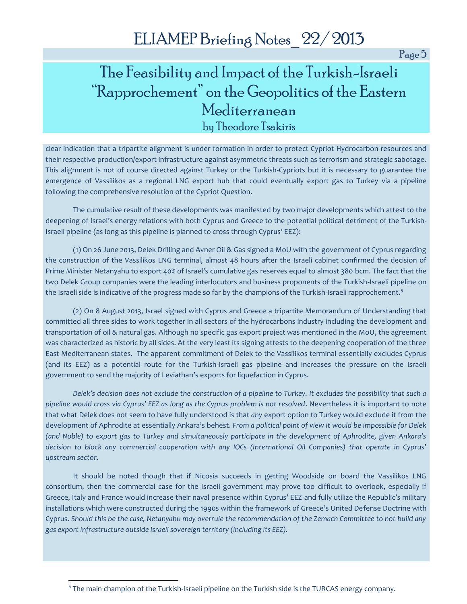Page 5

# The Feasibility and Impact of the Turkish-Israeli "Rapprochement" on the Geopolitics of the Eastern Mediterranean by Theodore Tsakiris

clear indication that a tripartite alignment is under formation in order to protect Cypriot Hydrocarbon resources and their respective production/export infrastructure against asymmetric threats such as terrorism and strategic sabotage. This alignment is not of course directed against Turkey or the Turkish-Cypriots but it is necessary to guarantee the emergence of Vassilikos as a regional LNG export hub that could eventually export gas to Turkey via a pipeline following the comprehensive resolution of the Cypriot Question.

The cumulative result of these developments was manifested by two major developments which attest to the deepening of Israel's energy relations with both Cyprus and Greece to the potential political detriment of the Turkish-Israeli pipeline (as long as this pipeline is planned to cross through Cyprus' EEZ):

(1) On 26 June 2013, Delek Drilling and Avner Oil & Gas signed a MoU with the government of Cyprus regarding the construction of the Vassilikos LNG terminal, almost 48 hours after the Israeli cabinet confirmed the decision of Prime Minister Netanyahu to export 40% of Israel's cumulative gas reserves equal to almost 380 bcm. The fact that the two Delek Group companies were the leading interlocutors and business proponents of the Turkish-Israeli pipeline on the Israeli side is indicative of the progress made so far by the champions of the Turkish-Israeli rapprochement.**<sup>5</sup>**

(2) On 8 August 2013, Israel signed with Cyprus and Greece a tripartite Memorandum of Understanding that committed all three sides to work together in all sectors of the hydrocarbons industry including the development and transportation of oil & natural gas. Although no specific gas export project was mentioned in the MoU, the agreement was characterized as historic by all sides. At the very least its signing attests to the deepening cooperation of the three East Mediterranean states. The apparent commitment of Delek to the Vassilikos terminal essentially excludes Cyprus (and its EEZ) as a potential route for the Turkish-Israeli gas pipeline and increases the pressure on the Israeli government to send the majority of Leviathan's exports for liquefaction in Cyprus.

*Delek's decision does not exclude the construction of a pipeline to Turkey. It excludes the possibility that such a pipeline would cross via Cyprus' EEZ as long as the Cyprus problem is not resolved*. Nevertheless it is important to note that what Delek does not seem to have fully understood is that *any* export option to Turkey would exclude it from the development of Aphrodite at essentially Ankara's behest. *From a political point of view it would be impossible for Delek (and Noble) to export gas to Turkey and simultaneously participate in the development of Aphrodite, given Ankara's decision to block any commercial cooperation with any IOCs (International Oil Companies) that operate in Cyprus' upstream sector.*

It should be noted though that if Nicosia succeeds in getting Woodside on board the Vassilikos LNG consortium, then the commercial case for the Israeli government may prove too difficult to overlook, especially if Greece, Italy and France would increase their naval presence within Cyprus' EEZ and fully utilize the Republic's military installations which were constructed during the 1990s within the framework of Greece's United Defense Doctrine with Cyprus. *Should this be the case, Netanyahu may overrule the recommendation of the Zemach Committee to not build any gas export infrastructure outside Israeli sovereign territory (including its EEZ).*

l

<sup>&</sup>lt;sup>5</sup> The main champion of the Turkish-Israeli pipeline on the Turkish side is the TURCAS energy company.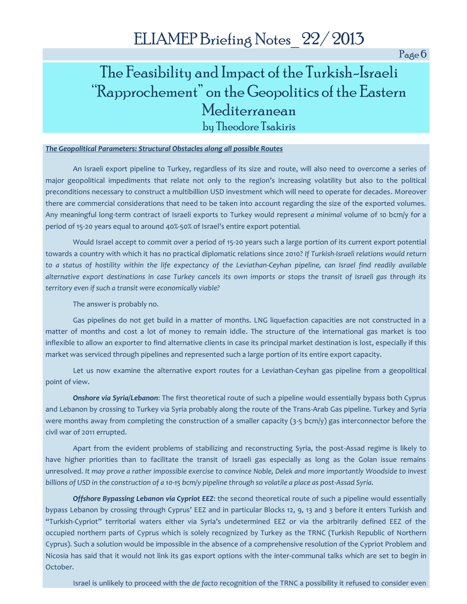Page 6

# The Feasibility and Impact of the Turkish-Israeli "Rapprochement" on the Geopolitics of the Eastern Mediterranean by Theodore Tsakiris

#### *The Geopolitical Parameters: Structural Obstacles along all possible Routes*

An Israeli export pipeline to Turkey, regardless of its size and route, will also need to overcome a series of major geopolitical impediments that relate not only to the region's increasing volatility but also to the political preconditions necessary to construct a multibillion USD investment which will need to operate for decades. Moreover there are commercial considerations that need to be taken into account regarding the size of the exported volumes. Any meaningful long-term contract of Israeli exports to Turkey would represent *a minimal* volume of 10 bcm/y for a period of 15-20 years equal to around 40%-50% of Israel's entire export potential*.*

Would Israel accept to commit over a period of 15-20 years such a large portion of its current export potential towards a country with which it has no practical diplomatic relations since 2010? *If Turkish-Israeli relations would return to a status of hostility within the life expectancy of the Leviathan-Ceyhan pipeline, can Israel find readily available alternative export destinations in case Turkey cancels its own imports or stops the transit of Israeli gas through its territory even if such a transit were economically viable?* 

The answer is probably no.

Gas pipelines do not get build in a matter of months. LNG liquefaction capacities are not constructed in a matter of months and cost a lot of money to remain iddle. The structure of the international gas market is too inflexible to allow an exporter to find alternative clients in case its principal market destination is lost, especially if this market was serviced through pipelines and represented such a large portion of its entire export capacity.

Let us now examine the alternative export routes for a Leviathan-Ceyhan gas pipeline from a geopolitical point of view.

*Onshore via Syria/Lebanon*: The first theoretical route of such a pipeline would essentially bypass both Cyprus and Lebanon by crossing to Turkey via Syria probably along the route of the Trans-Arab Gas pipeline. Turkey and Syria were months away from completing the construction of a smaller capacity  $(3-5 \text{ bcm/y})$  gas interconnector before the civil war of 2011 errupted.

Apart from the evident problems of stabilizing and reconstructing Syria, the post-Assad regime is likely to have higher priorities than to facilitate the transit of Israeli gas especially as long as the Golan issue remains unresolved. *It may prove a rather impossible exercise to convince Noble, Delek and more importantly Woodside to invest billions of USD in the construction of a 10-15 bcm/y pipeline through so volatile a place as post-Assad Syria*.

*Offshore Bypassing Lebanon via Cypriot EEZ*: the second theoretical route of such a pipeline would essentially bypass Lebanon by crossing through Cyprus' EEZ and in particular Blocks 12, 9, 13 and 3 before it enters Turkish and "Turkish-Cypriot" territorial waters either via Syria's undetermined EEZ or via the arbitrarily defined EEZ of the occupied northern parts of Cyprus which is solely recognized by Turkey as the TRNC (Turkish Republic of Northern Cyprus). Such a solution would be impossible in the absence of a comprehensive resolution of the Cypriot Problem and Nicosia has said that it would not link its gas export options with the inter-communal talks which are set to begin in October.

Israel is unlikely to proceed with the *de facto* recognition of the TRNC a possibility it refused to consider even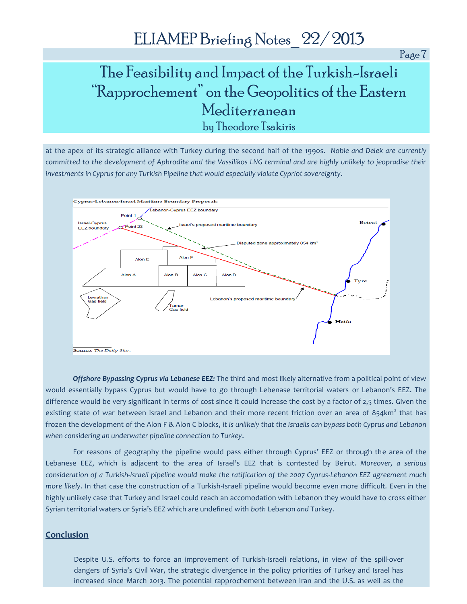Page 7

# The Feasibility and Impact of the Turkish-Israeli "Rapprochement" on the Geopolitics of the Eastern Mediterranean by Theodore Tsakiris

at the apex of its strategic alliance with Turkey during the second half of the 1990s. *Noble and Delek are currently committed to the development of Aphrodite and the Vassilikos LNG terminal and are highly unlikely to jeopradise their investments in Cyprus for any Turkish Pipeline that would especially violate Cypriot sovereignty*.



*Offshore Bypassing Cyprus via Lebanese EEZ:* The third and most likely alternative from a political point of view would essentially bypass Cyprus but would have to go through Lebenase territorial waters or Lebanon's EEZ. The difference would be very significant in terms of cost since it could increase the cost by a factor of 2,5 times. Given the existing state of war between Israel and Lebanon and their more recent friction over an area of 854km<sup>2</sup> that has frozen the development of the Alon F & Alon C blocks, *it is unlikely that the Israelis can bypass both Cyprus and Lebanon when considering an underwater pipeline connection to Turkey*.

For reasons of geography the pipeline would pass either through Cyprus' EEZ or through the area of the Lebanese EEZ, which is adjacent to the area of Israel's EEZ that is contested by Beirut. *Moreover, a serious consideration of a Turkish-Israeli pipeline would make the ratification of the 2007 Cyprus-Lebanon EEZ agreement much more likely*. In that case the construction of a Turkish-Israeli pipeline would become even more difficult. Even in the highly unlikely case that Turkey and Israel could reach an accomodation with Lebanon they would have to cross either Syrian territorial waters or Syria's EEZ which are undefined with *both* Lebanon *and* Turkey.

#### **Conclusion**

Despite U.S. efforts to force an improvement of Turkish-Israeli relations, in view of the spill-over dangers of Syria's Civil War, the strategic divergence in the policy priorities of Turkey and Israel has increased since March 2013. The potential rapprochement between Iran and the U.S. as well as the